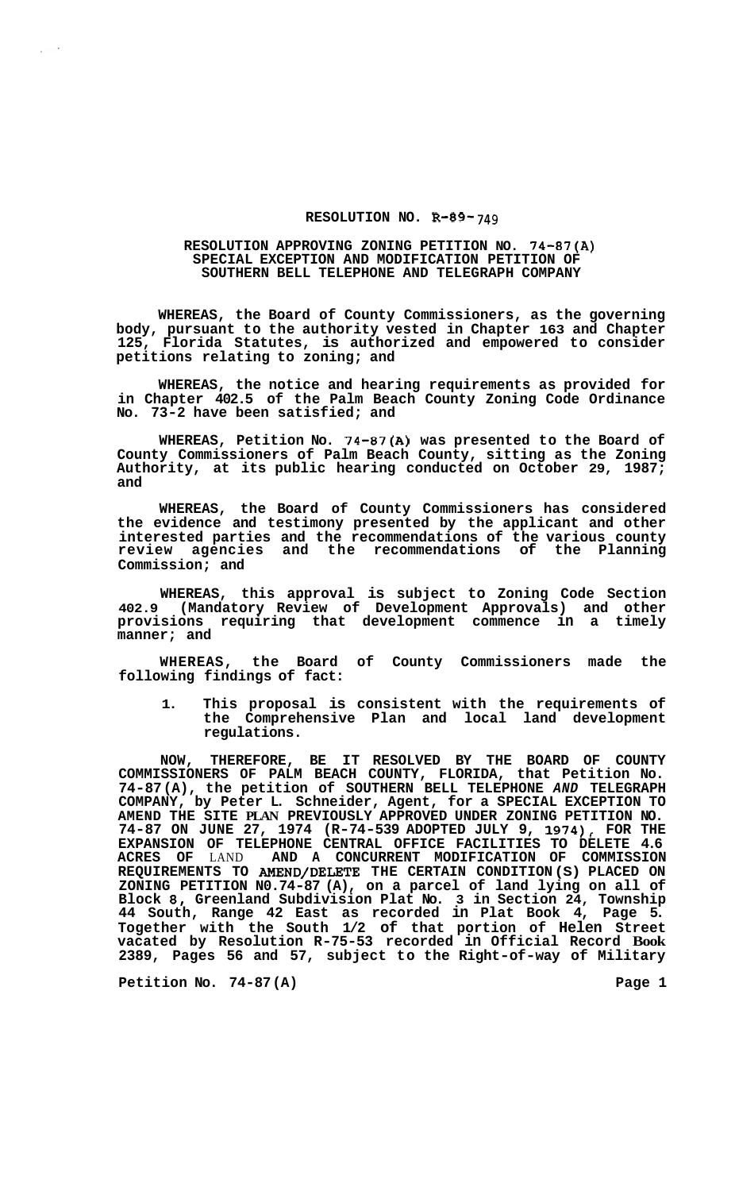## **RESOLUTION NO. R-89- 749**

## **RESOLUTION APPROVING ZONING PETITION NO. 74-87(A) SPECIAL EXCEPTION AND MODIFICATION PETITION OF SOUTHERN BELL TELEPHONE AND TELEGRAPH COMPANY**

**WHEREAS, the Board of County Commissioners, as the governing body, pursuant to the authority vested in Chapter 163 and Chapter 125, Florida Statutes, is authorized and empowered to consider petitions relating to zoning; and** 

**WHEREAS, the notice and hearing requirements as provided for in Chapter 402.5 of the Palm Beach County Zoning Code Ordinance No. 73-2 have been satisfied; and** 

**WHEREAS, Petition No. 74-87(A) was presented to the Board of County Commissioners of Palm Beach County, sitting as the Zoning Authority, at its public hearing conducted on October 29, 1987; and** 

**WHEREAS, the Board of County Commissioners has considered the evidence and testimony presented by the applicant and other interested parties and the recommendations of the various county review agencies and the recommendations of the Planning Commission; and** 

**WHEREAS, this approval is subject to Zoning Code Section 402.9 (Mandatory Review of Development Approvals) and other provisions requiring that development commence in a timely manner; and** 

**WHEREAS, the Board of County Commissioners made the following findings of fact:** 

**1. This proposal is consistent with the requirements of the Comprehensive Plan and local land development regulations.** 

**NOW, THEREFORE, BE IT RESOLVED BY THE BOARD OF COUNTY COMMISSIONERS OF PALM BEACH COUNTY, FLORIDA, that Petition No. 74-87 (A), the petition of SOUTHERN BELL TELEPHONE** *AND* **TELEGRAPH COMPANY, by Peter L. Schneider, Agent, for a SPECIAL EXCEPTION TO AMEND THE SITE PLAN PREVIOUSLY APPROVED UNDER ZONING PETITION NO. 74-87 ON JUNE 27, 1974 (R-74-539 ADOPTED JULY 9, 1974), FOR THE EXPANSION OF TELEPHONE CENTRAL OFFICE FACILITIES TO DELETE 4.6**  AND A CONCURRENT MODIFICATION OF **REQUIREMENTS TO AMEND/DELETE THE CERTAIN CONDITION (S) PLACED ON ZONING PETITION N0.74-87 (A), on a parcel of land lying on all of Block 8, Greenland Subdivision Plat No. 3 in Section 24, Township 44 South, Range 42 East as recorded in Plat Book 4, Page 5. Together with the South 1/2 of that portion of Helen Street vacated by Resolution R-75-53 recorded in Official Record Book 2389, Pages 56 and 57, subject to the Right-of-way of Military**